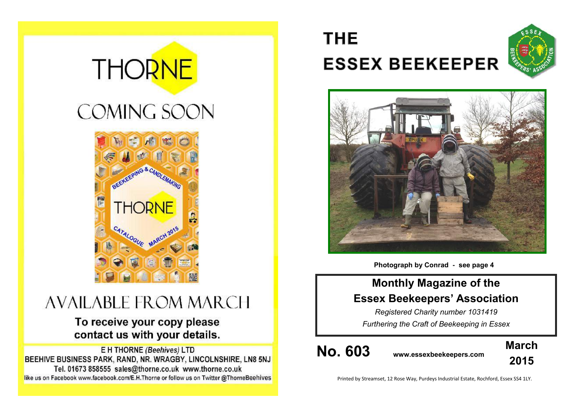# **THORNE COMING SOON**



# **AVAILABLE FROM MARCH**

# To receive your copy please contact us with your details.

E H THORNE (Beehives) LTD BEEHIVE BUSINESS PARK, RAND, NR. WRAGBY, LINCOLNSHIRE, LN8 5NJ Tel. 01673 858555 sales@thorne.co.uk www.thorne.co.uk like us on Facebook www.facebook.com/E.H.Thorne or follow us on Twitter @ThorneBeehives

# **THE ESSEX BEEKEEPER**





**Photograph by Conrad - see page 4**

### **Monthly Magazine of the Essex Beekeepers' Association**

*Registered Charity number 1031419 Furthering the Craft of Beekeeping in Essex*

**No. 603 www.essexbeekeepers.com**



Printed by Streamset, 12 Rose Way, Purdeys Industrial Estate, Rochford, Essex SS4 1LY.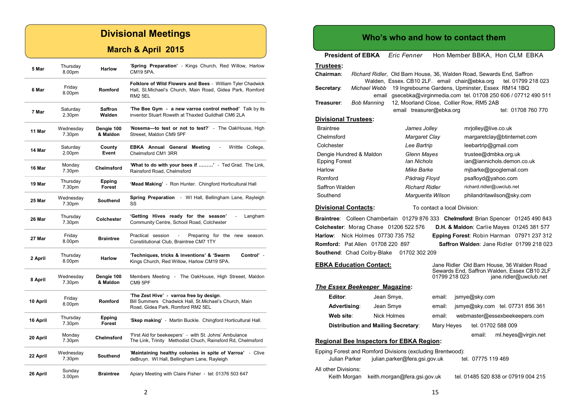#### **Divisional Meetings**

#### **March & April 2015**

| 5 Mar    | Thursday<br>8.00pm           | <b>Harlow</b>           | 'Spring Preparation' - Kings Church, Red Willow, Harlow<br>CM19 5PA.                                                                                   |
|----------|------------------------------|-------------------------|--------------------------------------------------------------------------------------------------------------------------------------------------------|
| 6 Mar    | Friday<br>8.00pm             | Romford                 | <b>Folklore of Wild Flowers and Bees - William Tyler Chadwick</b><br>Hall, St. Michael's Church, Main Road, Gidea Park, Romford<br>RM <sub>2</sub> 5EL |
| 7 Mar    | Saturday<br>2.30pm           | Saffron<br>Walden       | 'The Bee Gym - a new varroa control method' Talk by its<br>inventor Stuart Roweth at Thaxted Guildhall CM6 2LA                                         |
| 11 Mar   | Wednesday<br>7.30pm          | Denaie 100<br>& Maldon  | 'Nosema-to test or not to test?' - The OakHouse, High<br>Streeet, Maldon CM9 5PF                                                                       |
| 14 Mar   | Saturday<br>2.00pm           | County<br>Event         | <b>EBKA Annual General Meeting</b><br>Writtle College,<br>Chelmsford CM1 3RR                                                                           |
| 16 Mar   | Monday<br>7.30pm             | Chelmsford              | 'What to do with your bees if ' - Ted Grad. The Link,<br>Rainsford Road, Chelmsford                                                                    |
| 19 Mar   | Thursday<br>7.30pm           | Epping<br><b>Forest</b> | 'Mead Making' - Ron Hunter. Chingford Horticultural Hall                                                                                               |
| 25 Mar   | Wednesday<br>7.30pm          | <b>Southend</b>         | <b>Spring Preparation</b> - WI Hall, Bellingham Lane, Rayleigh<br>SS                                                                                   |
| 26 Mar   | Thursday<br>7.30pm           | Colchester              | 'Getting Hives ready for the season'<br>Langham<br>$\mathbf{r}$<br>Community Centre, School Road, Colchester                                           |
| 27 Mar   | Friday<br>8.00pm             | <b>Braintree</b>        | Practical session<br>Preparing for the new season.<br>Constiitutional Club, Braintree CM7 1TY                                                          |
| 2 April  | Thursday<br>8.00pm           | <b>Harlow</b>           | 'Techniques, tricks & inventions' & 'Swarm<br>Control' -<br>Kings Church, Red Willow, Harlow CM19 5PA.                                                 |
| 8 April  | Wednesday<br>7.30pm          | Dengie 100<br>& Maldon  | Members Meeting - The OakHouse, High Streeet, Maldon<br>CM9 5PF                                                                                        |
| 10 April | Friday<br>8.00pm             | Romford                 | 'The Zest Hive' - varroa free by design.<br>Bill Summers Chadwick Hall, St.Michael's Church, Main<br>Road, Gidea Park, Romford RM2 5EL                 |
| 16 April | Thursday<br>7.30pm           | Epping<br>Forest        | 'Skep making' - Martin Buckle. Chingford Horticultural Hall.                                                                                           |
| 20 April | Monday<br>7.30pm             | Chelmsford              | 'First Aid for beekeepers' - with St. Johns' Ambulance<br>The Link, Trinity Methodist Chuch, Rainsford Rd, Chelmsford                                  |
| 22 April | Wednesday<br>7.30pm          | Southend                | 'Maintaining healthy colonies in spite of Varroa' - Clive<br>deBruyn. WI Hall, Bellingham Lane, Rayleigh                                               |
| 26 April | Sunday<br>3.00 <sub>pm</sub> | <b>Braintree</b>        | Apiary Meeting with Claire Fisher - tel: 01376 503 647                                                                                                 |

#### **Who's who and how to contact them**

**President of EBKA** *Eric Fenner* Hon Member BBKA, Hon CLM EBKA

#### **Trustees:**

| Chairman:                   |              | Walden, Essex CB10 2LF. email chair@ebka.org | Richard Ridler, Old Barn House, 36, Walden Road, Sewards End, Saffron<br>tel. 01799 218 023 |
|-----------------------------|--------------|----------------------------------------------|---------------------------------------------------------------------------------------------|
| Secretary:                  | Michael Webb |                                              | 19 Ingrebourne Gardens, Upminster, Essex RM14 1BQ                                           |
|                             | email        |                                              | gsecebka@virginmedia.com tel. 01708 250 606 / 07712 490 511                                 |
| Treasurer:                  | Bob Manning  | 12, Moorland Close, Collier Row, RM5 2AB     |                                                                                             |
|                             |              | email treasurer@ebka.org                     | tel: 01708 760 770                                                                          |
| <b>Divisional Trustees:</b> |              |                                              |                                                                                             |
| <b>Braintree</b>            |              | James Jolley                                 | mrjolley@live.co.uk                                                                         |
| Chelmsford                  |              | Margaret Clay                                | margaretclay@btinternet.com                                                                 |
| Colchester                  |              | Lee Bartrip                                  | leebartrip@gmail.com                                                                        |
| Dengie Hundred & Maldon     |              | Glenn Mayes                                  | trustee@dmbka.org.uk                                                                        |
| Epping Forest               |              | lan Nichols                                  | ian@iannichols.demon.co.uk                                                                  |
| Harlow                      |              | Mike Barke                                   | mjbarke@googlemail.com                                                                      |
| Romford                     |              | Pádraig Floyd                                | psafloyd@yahoo.com                                                                          |
| Saffron Walden              |              | <b>Richard Ridler</b>                        | richard.ridler@uwclub.net                                                                   |
| Southend                    |              | Marquerita Wilson                            | philandritawilson@sky.com                                                                   |
|                             |              |                                              |                                                                                             |

#### **Divisional Contacts:** To contact a local Division:

**Braintree**: Colleen Chamberlain 01279 876 333 **Chelmsford**: Brian Spencer 01245 490 843 **Colchester**: Morag Chase 01206 522 576 **D.H. & Maldon**: Carlie Mayes 01245 381 577 **Harlow**: Nick Holmes 07730 735 752 **Epping Forest**: Robin Harman 07971 237 312 **Romford:** Pat Allen 01708 220 897 **Saffron Walden**: Jane Ridler 01799 218 023 **Southend**: Chad Colby-Blake 01702 302 209

#### **EBKA Education Contact:** Jane Ridler Old Barn House, 36 Walden Road

|                               |                                                 | 01799 218 023 |               | Sewards End, Saffron Walden, Essex CB10 2LF<br>jane.ridler@uwclub.net |
|-------------------------------|-------------------------------------------------|---------------|---------------|-----------------------------------------------------------------------|
| The Essex Beekeeper Magazine: |                                                 |               |               |                                                                       |
| Editor:                       | Jean Smye,                                      | email:        | jsmye@sky.com |                                                                       |
| Advertising:                  | Jean Smye                                       | email:        |               | jsmye@sky.com tel. 07731 856 361                                      |
| Web site:                     | Nick Holmes                                     | email:        |               | webmaster@essexbeekeepers.com                                         |
|                               | <b>Distribution and Mailing Secretary:</b>      | Mary Heyes    |               | tel. 01702 588 009                                                    |
|                               | <b>Dogional Roo Inspectors for ERKA Region:</b> |               | email:        | ml.heyes@virgin.net                                                   |

#### **Regional Bee Inspectors for EBKA Region:** Epping Forest and Romford Divisions (excluding Brentwood):

|                      | Epping Forest and Romiord Divisions (excluding Brentwood): |                                     |
|----------------------|------------------------------------------------------------|-------------------------------------|
| Julian Parker        | julian.parker@fera.gsi.gov.uk                              | tel. 07775 119 469                  |
| All other Divisions: |                                                            |                                     |
|                      | Keith Morgan keith morgan@fera.gsi.gov.uk                  | tel. 01485 520 838 or 07919 004 215 |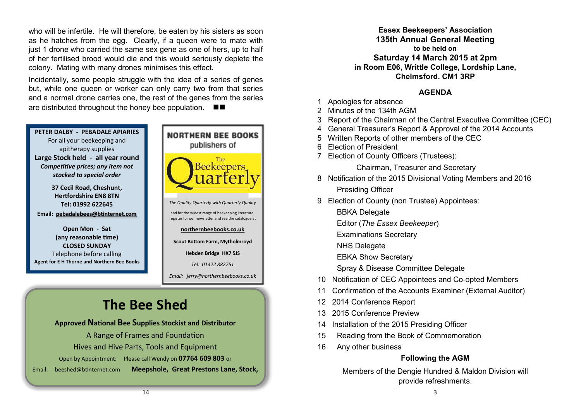who will be infertile. He will therefore, be eaten by his sisters as soon as he hatches from the egg. Clearly, if a queen were to mate with just 1 drone who carried the same sex gene as one of hers, up to half of her fertilised brood would die and this would seriously deplete the colony. Mating with many drones minimises this effect.

Incidentally, some people struggle with the idea of a series of genes but, while one queen or worker can only carry two from that series and a normal drone carries one, the rest of the genes from the series are distributed throughout the honey bee population.



#### **Approved National Bee Supplies Stockist and Distributor**

A Range of Frames and Foundation Hives and Hive Parts, Tools and Equipment Open by Appointment: Please call Wendy on **07764 609 803** or Email: [beeshed@btinternet.com](mailto:beeshed@btinternet.com) **Meepshole, Great Prestons Lane, Stock,** 

**Essex Beekeepers' Association 135th Annual General Meeting to be held on Saturday 14 March 2015 at 2pm in Room E06, Writtle College, Lordship Lane, Chelmsford. CM1 3RP**

#### **AGENDA**

- 1 Apologies for absence
- 2 Minutes of the 134th AGM
- 3 Report of the Chairman of the Central Executive Committee (CEC)
- 4 General Treasurer's Report & Approval of the 2014 Accounts
- 5 Written Reports of other members of the CEC
- 6 Election of President
- 7 Election of County Officers (Trustees):

Chairman, Treasurer and Secretary

- 8 Notification of the 2015 Divisional Voting Members and 2016 Presiding Officer
- 9 Election of County (non Trustee) Appointees:
	- BBKA Delegate
	- Editor (*The Essex Beekeeper*)
	- Examinations Secretary
	- NHS Delegate
	- EBKA Show Secretary
	- Spray & Disease Committee Delegate
- 10 Notification of CEC Appointees and Co-opted Members
- 11 Confirmation of the Accounts Examiner (External Auditor)
- 12 2014 Conference Report
- 13 2015 Conference Preview
- 14 Installation of the 2015 Presiding Officer
- 15 Reading from the Book of Commemoration
- 16 Any other business

#### **Following the AGM**

Members of the Dengie Hundred & Maldon Division will provide refreshments.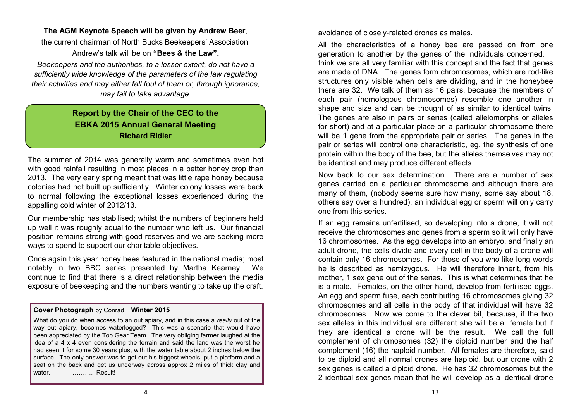#### **The AGM Keynote Speech will be given by Andrew Beer**,

the current chairman of North Bucks Beekeepers' Association. Andrew's talk will be on **"Bees & the Law".**

*Beekeepers and the authorities, to a lesser extent, do not have a sufficiently wide knowledge of the parameters of the law regulating their activities and may either fall foul of them or, through ignorance, may fail to take advantage.*

#### **Report by the Chair of the CEC to the EBKA 2015 Annual General Meeting Richard Ridler**

The summer of 2014 was generally warm and sometimes even hot with good rainfall resulting in most places in a better honey crop than 2013. The very early spring meant that was little rape honey because colonies had not built up sufficiently. Winter colony losses were back to normal following the exceptional losses experienced during the appalling cold winter of 2012/13.

Our membership has stabilised; whilst the numbers of beginners held up well it was roughly equal to the number who left us. Our financial position remains strong with good reserves and we are seeking more ways to spend to support our charitable objectives.

Once again this year honey bees featured in the national media; most notably in two BBC series presented by Martha Kearney. We continue to find that there is a direct relationship between the media exposure of beekeeping and the numbers wanting to take up the craft.

#### **Cover Photograph** by Conrad **Winter 2015**

What do you do when access to an out apiary, and in this case a *really* out of the way out apiary, becomes waterlogged? This was a scenario that would have been appreciated by the Top Gear Team. The very obliging farmer laughed at the idea of a 4 x 4 even considering the terrain and said the land was the worst he had seen it for some 30 years plus, with the water table about 2 inches below the surface. The only answer was to get out his biggest wheels, put a platform and a seat on the back and get us underway across approx 2 miles of thick clay and water. **........... Result!** 

avoidance of closely-related drones as mates.

All the characteristics of a honey bee are passed on from one generation to another by the genes of the individuals concerned. I think we are all very familiar with this concept and the fact that genes are made of DNA. The genes form chromosomes, which are rod-like structures only visible when cells are dividing, and in the honeybee there are 32. We talk of them as 16 pairs, because the members of each pair (homologous chromosomes) resemble one another in shape and size and can be thought of as similar to identical twins. The genes are also in pairs or series (called allelomorphs or alleles for short) and at a particular place on a particular chromosome there will be 1 gene from the appropriate pair or series. The genes in the pair or series will control one characteristic, eg. the synthesis of one protein within the body of the bee, but the alleles themselves may not be identical and may produce different effects.

Now back to our sex determination. There are a number of sex genes carried on a particular chromosome and although there are many of them, (nobody seems sure how many, some say about 18, others say over a hundred), an individual egg or sperm will only carry one from this series.

If an egg remains unfertilised, so developing into a drone, it will not receive the chromosomes and genes from a sperm so it will only have 16 chromosomes. As the egg develops into an embryo, and finally an adult drone, the cells divide and every cell in the body of a drone will contain only 16 chromosomes. For those of you who like long words he is described as hemizygous. He will therefore inherit, from his mother, 1 sex gene out of the series. This is what determines that he is a male. Females, on the other hand, develop from fertilised eggs. An egg and sperm fuse, each contributing 16 chromosomes giving 32 chromosomes and all cells in the body of that individual will have 32 chromosomes. Now we come to the clever bit, because, if the two sex alleles in this individual are different she will be a female but if they are identical a drone will be the result. We call the full complement of chromosomes (32) the diploid number and the half complement (16) the haploid number. All females are therefore, said to be diploid and all normal drones are haploid, but our drone with 2 sex genes is called a diploid drone. He has 32 chromosomes but the 2 identical sex genes mean that he will develop as a identical drone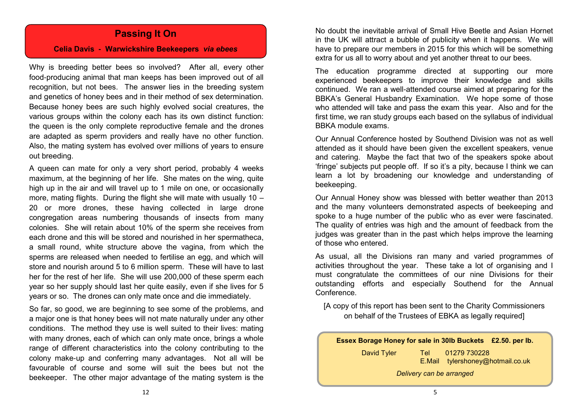#### **Passing It On**

#### **Celia Davis - Warwickshire Beekeepers** *via ebees*

Why is breeding better bees so involved? After all, every other food-producing animal that man keeps has been improved out of all recognition, but not bees. The answer lies in the breeding system and genetics of honey bees and in their method of sex determination. Because honey bees are such highly evolved social creatures, the various groups within the colony each has its own distinct function: the queen is the only complete reproductive female and the drones are adapted as sperm providers and really have no other function. Also, the mating system has evolved over millions of years to ensure out breeding.

A queen can mate for only a very short period, probably 4 weeks maximum, at the beginning of her life. She mates on the wing, quite high up in the air and will travel up to 1 mile on one, or occasionally more, mating flights. During the flight she will mate with usually 10 – 20 or more drones, these having collected in large drone congregation areas numbering thousands of insects from many colonies. She will retain about 10% of the sperm she receives from each drone and this will be stored and nourished in her spermatheca, a small round, white structure above the vagina, from which the sperms are released when needed to fertilise an egg, and which will store and nourish around 5 to 6 million sperm. These will have to last her for the rest of her life. She will use 200,000 of these sperm each year so her supply should last her quite easily, even if she lives for 5 years or so. The drones can only mate once and die immediately.

So far, so good, we are beginning to see some of the problems, and a major one is that honey bees will not mate naturally under any other conditions. The method they use is well suited to their lives: mating with many drones, each of which can only mate once, brings a whole range of different characteristics into the colony contributing to the colony make-up and conferring many advantages. Not all will be favourable of course and some will suit the bees but not the beekeeper. The other major advantage of the mating system is the

No doubt the inevitable arrival of Small Hive Beetle and Asian Hornet in the UK will attract a bubble of publicity when it happens. We will have to prepare our members in 2015 for this which will be something extra for us all to worry about and yet another threat to our bees.

The education programme directed at supporting our more experienced beekeepers to improve their knowledge and skills continued. We ran a well-attended course aimed at preparing for the BBKA's General Husbandry Examination. We hope some of those who attended will take and pass the exam this year. Also and for the first time, we ran study groups each based on the syllabus of individual BBKA module exams.

Our Annual Conference hosted by Southend Division was not as well attended as it should have been given the excellent speakers, venue and catering. Maybe the fact that two of the speakers spoke about 'fringe' subjects put people off. If so it's a pity, because I think we can learn a lot by broadening our knowledge and understanding of beekeeping.

Our Annual Honey show was blessed with better weather than 2013 and the many volunteers demonstrated aspects of beekeeping and spoke to a huge number of the public who as ever were fascinated. The quality of entries was high and the amount of feedback from the judges was greater than in the past which helps improve the learning of those who entered.

As usual, all the Divisions ran many and varied programmes of activities throughout the year. These take a lot of organising and I must congratulate the committees of our nine Divisions for their outstanding efforts and especially Southend for the Annual Conference.

[A copy of this report has been sent to the Charity Commissioners on behalf of the Trustees of EBKA as legally required]

**Essex Borage Honey for sale in 30lb Buckets £2.50. per lb.**

| David Tyler              | Tel I | 01279 730228                     |  |  |  |
|--------------------------|-------|----------------------------------|--|--|--|
|                          |       | E.Mail tylershoney@hotmail.co.uk |  |  |  |
| Delivery can be arranged |       |                                  |  |  |  |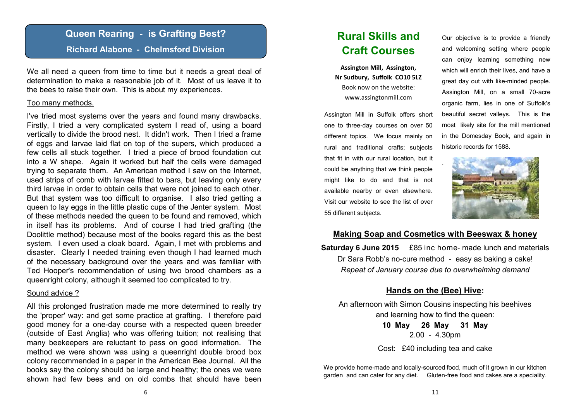#### **Queen Rearing - is Grafting Best?**

#### **Richard Alabone - Chelmsford Division**

We all need a queen from time to time but it needs a great deal of determination to make a reasonable job of it. Most of us leave it to the bees to raise their own. This is about my experiences.

#### Too many methods.

I've tried most systems over the years and found many drawbacks. Firstly, I tried a very complicated system I read of, using a board vertically to divide the brood nest. It didn't work. Then I tried a frame of eggs and larvae laid flat on top of the supers, which produced a few cells all stuck together. I tried a piece of brood foundation cut into a W shape. Again it worked but half the cells were damaged trying to separate them. An American method I saw on the Internet, used strips of comb with larvae fitted to bars, but leaving only every third larvae in order to obtain cells that were not joined to each other. But that system was too difficult to organise. I also tried getting a queen to lay eggs in the little plastic cups of the Jenter system. Most of these methods needed the queen to be found and removed, which in itself has its problems. And of course I had tried grafting (the Doolittle method) because most of the books regard this as the best system. I even used a cloak board. Again, I met with problems and disaster. Clearly I needed training even though I had learned much of the necessary background over the years and was familiar with Ted Hooper's recommendation of using two brood chambers as a queenright colony, although it seemed too complicated to try.

#### Sound advice ?

All this prolonged frustration made me more determined to really try the 'proper' way: and get some practice at grafting. I therefore paid good money for a one-day course with a respected queen breeder (outside of East Anglia) who was offering tuition; not realising that many beekeepers are reluctant to pass on good information. The method we were shown was using a queenright double brood box colony recommended in a paper in the American Bee Journal. All the books say the colony should be large and healthy; the ones we were shown had few bees and on old combs that should have been

### **Rural Skills and Craft Courses**

**Assington Mill, Assington, Nr Sudbury, Suffolk CO10 5LZ** Book now on the website: www.assingtonmill.com

Assington Mill in Suffolk offers short one to three-day courses on over 50 different topics. We focus mainly on rural and traditional crafts; subjects that fit in with our rural location, but it could be anything that we think people might like to do and that is not available nearby or even elsewhere. Visit our website to see the list of over 55 different subjects.

Our objective is to provide a friendly and welcoming setting where people can enjoy learning something new which will enrich their lives, and have a great day out with like-minded people. Assington Mill, on a small 70-acre organic farm, lies in one of Suffolk's beautiful secret valleys. This is the most likely site for the mill mentioned in the Domesday Book, and again in historic records for 1588.



#### **Making Soap and Cosmetics with Beeswax & honey**

**Saturday 6 June 2015** £85 inc home- made lunch and materials Dr Sara Robb's no-cure method - easy as baking a cake! *Repeat of January course due to overwhelming demand*

#### **Hands on the (Bee) Hive:**

An afternoon with Simon Cousins inspecting his beehives and learning how to find the queen:

> **10 May 26 May 31 May** 2.00 - 4.30pm

Cost: £40 including tea and cake

We provide home-made and locally-sourced food, much of it grown in our kitchen garden and can cater for any diet. Gluten-free food and cakes are a speciality.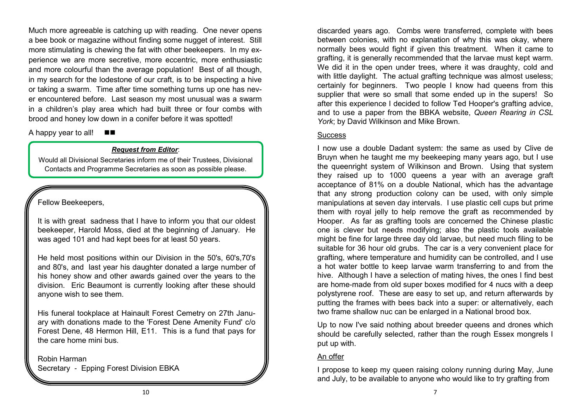Much more agreeable is catching up with reading. One never opens a bee book or magazine without finding some nugget of interest. Still more stimulating is chewing the fat with other beekeepers. In my experience we are more secretive, more eccentric, more enthusiastic and more colourful than the average population! Best of all though, in my search for the lodestone of our craft, is to be inspecting a hive or taking a swarm. Time after time something turns up one has never encountered before. Last season my most unusual was a swarm in a children's play area which had built three or four combs with brood and honey low down in a conifer before it was spotted!

A happy year to all! ■■

#### *Request from Editor*:

Would all Divisional Secretaries inform me of their Trustees, Divisional Contacts and Programme Secretaries as soon as possible please.

#### Fellow Beekeepers,

It is with great sadness that I have to inform you that our oldest beekeeper, Harold Moss, died at the beginning of January. He was aged 101 and had kept bees for at least 50 years.

He held most positions within our Division in the 50's, 60's,70's and 80's, and last year his daughter donated a large number of his honey show and other awards gained over the years to the division. Eric Beaumont is currently looking after these should anyone wish to see them.

His funeral tookplace at Hainault Forest Cemetry on 27th January with donations made to the 'Forest Dene Amenity Fund' c/o Forest Dene, 48 Hermon Hill, E11. This is a fund that pays for the care home mini bus.

#### Robin Harman Secretary - Epping Forest Division EBKA

discarded years ago. Combs were transferred, complete with bees between colonies, with no explanation of why this was okay, where normally bees would fight if given this treatment. When it came to grafting, it is generally recommended that the larvae must kept warm. We did it in the open under trees, where it was draughty, cold and with little daylight. The actual grafting technique was almost useless; certainly for beginners. Two people I know had queens from this supplier that were so small that some ended up in the supers! So after this experience I decided to follow Ted Hooper's grafting advice, and to use a paper from the BBKA website, *Queen Rearing in CSL York*; by David Wilkinson and Mike Brown.

#### **Success**

I now use a double Dadant system: the same as used by Clive de Bruyn when he taught me my beekeeping many years ago, but I use the queenright system of Wilkinson and Brown. Using that system they raised up to 1000 queens a year with an average graft acceptance of 81% on a double National, which has the advantage that any strong production colony can be used, with only simple manipulations at seven day intervals. I use plastic cell cups but prime them with royal jelly to help remove the graft as recommended by Hooper. As far as grafting tools are concerned the Chinese plastic one is clever but needs modifying; also the plastic tools available might be fine for large three day old larvae, but need much filing to be suitable for 36 hour old grubs. The car is a very convenient place for grafting, where temperature and humidity can be controlled, and I use a hot water bottle to keep larvae warm transferring to and from the hive. Although I have a selection of mating hives, the ones I find best are home-made from old super boxes modified for 4 nucs with a deep polystyrene roof. These are easy to set up, and return afterwards by putting the frames with bees back into a super: or alternatively, each two frame shallow nuc can be enlarged in a National brood box.

Up to now I've said nothing about breeder queens and drones which should be carefully selected, rather than the rough Essex mongrels I put up with.

#### An offer

I propose to keep my queen raising colony running during May, June and July, to be available to anyone who would like to try grafting from